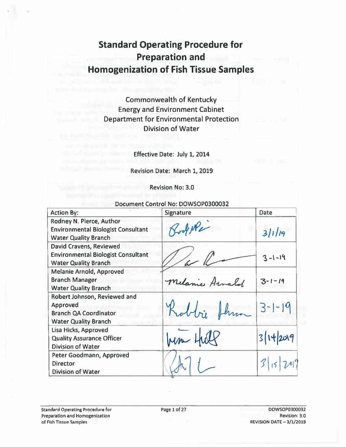# **Standard Operating Procedure for Preparation and Homogenization of Fish Tissue Samples**

**Commonwealth of Kentucky Energy and Environment Cabinet Department for Environmental Protection Division of Water** 

Effective Date: July 1, 2014

Revision Date: March 1, 2019

**Revision No: 3.0** 

#### Document Control No: DOWSOP0300032

| <b>Action By:</b>                                                                                       | <b>Signature</b> | Date         |
|---------------------------------------------------------------------------------------------------------|------------------|--------------|
| Rodney N. Pierce, Author<br><b>Environmental Biologist Consultant</b><br><b>Water Quality Branch</b>    | RodeRe           | 31119        |
| David Cravens, Reviewed<br><b>Environmental Biologist Consultant</b><br><b>Water Quality Branch</b>     |                  | $3 - 1 - 19$ |
| <b>Melanie Arnold, Approved</b><br><b>Branch Manager</b><br><b>Water Quality Branch</b>                 | Melanie Arnold   | $3 - 1 - 19$ |
| Robert Johnson, Reviewed and<br>Approved<br><b>Branch QA Coordinator</b><br><b>Water Quality Branch</b> | Robbi Jhm        | $3-1-19$     |
| Lisa Hicks, Approved<br><b>Quality Assurance Officer</b><br><b>Division of Water</b>                    |                  | 3/14/2019    |
| Peter Goodmann, Approved<br><b>Director</b><br><b>Division of Water</b>                                 |                  |              |

DOWSOP0300032 Revision: 3.0 REVISION DATE - 3/1/2019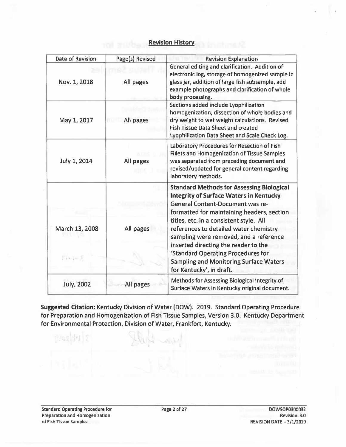#### **Revision History**

| Date of Revision  | Page(s) Revised | <b>Revision Explanation</b>                                                                                                                                                                                                              |
|-------------------|-----------------|------------------------------------------------------------------------------------------------------------------------------------------------------------------------------------------------------------------------------------------|
| Nov. 1, 2018      | All pages       | General editing and clarification. Addition of<br>electronic log, storage of homogenized sample in<br>glass jar, addition of large fish subsample, add<br>example photographs and clarification of whole<br>body processing.             |
| May 1, 2017       | All pages       | Sections added include Lyophilization<br>homogenization, dissection of whole bodies and<br>dry weight to wet weight calculations. Revised<br><b>Fish Tissue Data Sheet and created</b><br>Lyophilization Data Sheet and Scale Check Log. |
| July 1, 2014      | All pages       | Laboratory Procedures for Resection of Fish<br><b>Fillets and Homogenization of Tissue Samples</b><br>was separated from preceding document and<br>revised/updated for general content regarding<br>laboratory methods.                  |
|                   |                 | <b>Standard Methods for Assessing Biological</b><br><b>Integrity of Surface Waters in Kentucky</b><br><b>General Content-Document was re-</b><br>formatted for maintaining headers, section                                              |
| March 13, 2008    | All pages       | titles, etc. in a consistent style. All<br>references to detailed water chemistry<br>sampling were removed, and a reference<br>inserted directing the reader to the                                                                      |
| $1 - 1 - 8$       |                 | 'Standard Operating Procedures for<br><b>Sampling and Monitoring Surface Waters</b><br>for Kentucky', in draft.                                                                                                                          |
| <b>July, 2002</b> | All pages       | Methods for Assessing Biological Integrity of<br>Surface Waters in Kentucky original document.                                                                                                                                           |

Suggested Citation: Kentucky Division of Water (DOW). 2019. Standard Operating Procedure for Preparation and Homogenization of Fish Tissue Samples, Version 3.0. Kentucky Department for Environmental Protection, Division of Water, Frankfort, Kentucky.

**Standard Operating Procedure for** Preparation and Homogenization of Fish Tissue Samples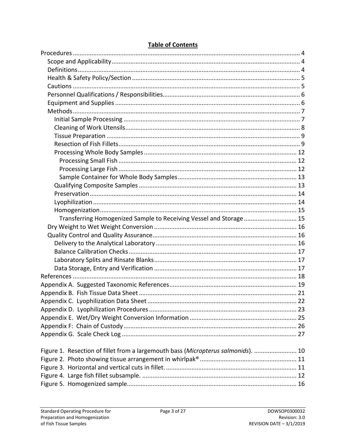| Transferring Homogenized Sample to Receiving Vessel and Storage 15                |  |
|-----------------------------------------------------------------------------------|--|
|                                                                                   |  |
|                                                                                   |  |
|                                                                                   |  |
|                                                                                   |  |
|                                                                                   |  |
|                                                                                   |  |
|                                                                                   |  |
|                                                                                   |  |
|                                                                                   |  |
|                                                                                   |  |
|                                                                                   |  |
|                                                                                   |  |
|                                                                                   |  |
|                                                                                   |  |
| Figure 1. Resection of fillet from a largemouth bass (Micropterus salmonids).  10 |  |
|                                                                                   |  |
|                                                                                   |  |
|                                                                                   |  |
|                                                                                   |  |

### **Table of Contents**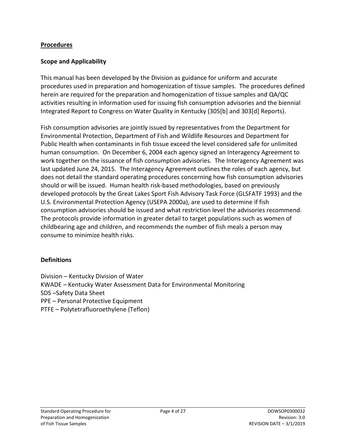#### <span id="page-3-0"></span>**Procedures**

#### <span id="page-3-1"></span>**Scope and Applicability**

This manual has been developed by the Division as guidance for uniform and accurate procedures used in preparation and homogenization of tissue samples. The procedures defined herein are required for the preparation and homogenization of tissue samples and QA/QC activities resulting in information used for issuing fish consumption advisories and the biennial Integrated Report to Congress on Water Quality in Kentucky (305[b] and 303[d] Reports).

Fish consumption advisories are jointly issued by representatives from the Department for Environmental Protection, Department of Fish and Wildlife Resources and Department for Public Health when contaminants in fish tissue exceed the level considered safe for unlimited human consumption. On December 6, 2004 each agency signed an Interagency Agreement to work together on the issuance of fish consumption advisories. The Interagency Agreement was last updated June 24, 2015. The Interagency Agreement outlines the roles of each agency, but does not detail the standard operating procedures concerning how fish consumption advisories should or will be issued. Human health risk-based methodologies, based on previously developed protocols by the Great Lakes Sport Fish Advisory Task Force (GLSFATF 1993) and the U.S. Environmental Protection Agency (USEPA 2000a), are used to determine if fish consumption advisories should be issued and what restriction level the advisories recommend. The protocols provide information in greater detail to target populations such as women of childbearing age and children, and recommends the number of fish meals a person may consume to minimize health risks.

#### <span id="page-3-2"></span>**Definitions**

Division – Kentucky Division of Water KWADE – Kentucky Water Assessment Data for Environmental Monitoring SDS –Safety Data Sheet PPE – Personal Protective Equipment PTFE – Polytetrafluoroethylene (Teflon)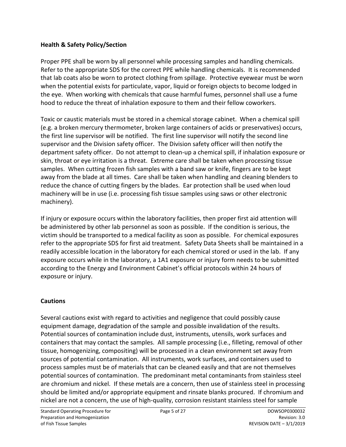### <span id="page-4-0"></span>**Health & Safety Policy/Section**

Proper PPE shall be worn by all personnel while processing samples and handling chemicals. Refer to the appropriate SDS for the correct PPE while handling chemicals. It is recommended that lab coats also be worn to protect clothing from spillage. Protective eyewear must be worn when the potential exists for particulate, vapor, liquid or foreign objects to become lodged in the eye. When working with chemicals that cause harmful fumes, personnel shall use a fume hood to reduce the threat of inhalation exposure to them and their fellow coworkers.

Toxic or caustic materials must be stored in a chemical storage cabinet. When a chemical spill (e.g. a broken mercury thermometer, broken large containers of acids or preservatives) occurs, the first line supervisor will be notified. The first line supervisor will notify the second line supervisor and the Division safety officer. The Division safety officer will then notify the department safety officer. Do not attempt to clean-up a chemical spill, if inhalation exposure or skin, throat or eye irritation is a threat. Extreme care shall be taken when processing tissue samples. When cutting frozen fish samples with a band saw or knife, fingers are to be kept away from the blade at all times. Care shall be taken when handling and cleaning blenders to reduce the chance of cutting fingers by the blades. Ear protection shall be used when loud machinery will be in use (i.e. processing fish tissue samples using saws or other electronic machinery).

If injury or exposure occurs within the laboratory facilities, then proper first aid attention will be administered by other lab personnel as soon as possible. If the condition is serious, the victim should be transported to a medical facility as soon as possible. For chemical exposures refer to the appropriate SDS for first aid treatment. Safety Data Sheets shall be maintained in a readily accessible location in the laboratory for each chemical stored or used in the lab. If any exposure occurs while in the laboratory, a 1A1 exposure or injury form needs to be submitted according to the Energy and Environment Cabinet's official protocols within 24 hours of exposure or injury.

#### <span id="page-4-1"></span>**Cautions**

Several cautions exist with regard to activities and negligence that could possibly cause equipment damage, degradation of the sample and possible invalidation of the results. Potential sources of contamination include dust, instruments, utensils, work surfaces and containers that may contact the samples. All sample processing (i.e., filleting, removal of other tissue, homogenizing, compositing) will be processed in a clean environment set away from sources of potential contamination. All instruments, work surfaces, and containers used to process samples must be of materials that can be cleaned easily and that are not themselves potential sources of contamination. The predominant metal contaminants from stainless steel are chromium and nickel. If these metals are a concern, then use of stainless steel in processing should be limited and/or appropriate equipment and rinsate blanks procured. If chromium and nickel are not a concern, the use of high-quality, corrosion resistant stainless steel for sample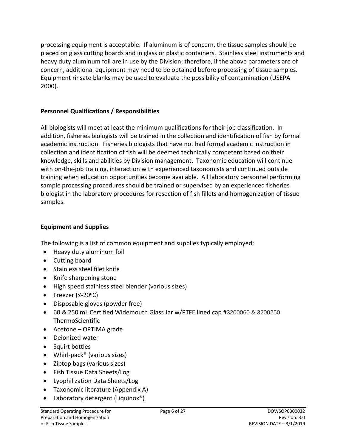processing equipment is acceptable. If aluminum is of concern, the tissue samples should be placed on glass cutting boards and in glass or plastic containers. Stainless steel instruments and heavy duty aluminum foil are in use by the Division; therefore, if the above parameters are of concern, additional equipment may need to be obtained before processing of tissue samples. Equipment rinsate blanks may be used to evaluate the possibility of contamination (USEPA 2000).

### <span id="page-5-0"></span>**Personnel Qualifications / Responsibilities**

All biologists will meet at least the minimum qualifications for their job classification. In addition, fisheries biologists will be trained in the collection and identification of fish by formal academic instruction. Fisheries biologists that have not had formal academic instruction in collection and identification of fish will be deemed technically competent based on their knowledge, skills and abilities by Division management. Taxonomic education will continue with on-the-job training, interaction with experienced taxonomists and continued outside training when education opportunities become available. All laboratory personnel performing sample processing procedures should be trained or supervised by an experienced fisheries biologist in the laboratory procedures for resection of fish fillets and homogenization of tissue samples.

### <span id="page-5-1"></span>**Equipment and Supplies**

The following is a list of common equipment and supplies typically employed:

- Heavy duty aluminum foil
- Cutting board
- Stainless steel filet knife
- Knife sharpening stone
- High speed stainless steel blender (various sizes)
- Freezer ( $\leq$ -20 $\degree$ C)
- Disposable gloves (powder free)
- 60 & 250 mL Certified Widemouth Glass Jar w/PTFE lined cap #3200060 & 3200250 ThermoScientific
- Acetone OPTIMA grade
- Deionized water
- Squirt bottles
- Whirl-pack<sup>®</sup> (various sizes)
- Ziptop bags (various sizes)
- Fish Tissue Data Sheets/Log
- Lyophilization Data Sheets/Log
- Taxonomic literature (Appendix A)
- Laboratory detergent (Liquinox®)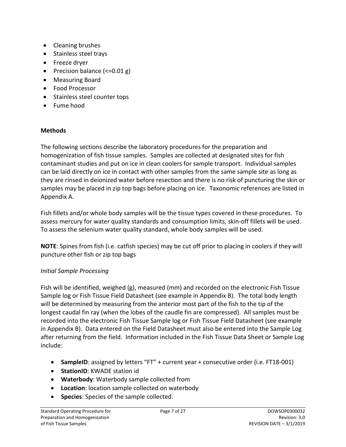- Cleaning brushes
- Stainless steel trays
- Freeze dryer
- Precision balance (<=0.01 g)
- Measuring Board
- Food Processor
- Stainless steel counter tops
- Fume hood

### <span id="page-6-0"></span>**Methods**

The following sections describe the laboratory procedures for the preparation and homogenization of fish tissue samples. Samples are collected at designated sites for fish contaminant studies and put on ice in clean coolers for sample transport. Individual samples can be laid directly on ice in contact with other samples from the same sample site as long as they are rinsed in deionized water before resection and there is no risk of puncturing the skin or samples may be placed in zip top bags before placing on ice. Taxonomic references are listed in Appendix A.

Fish fillets and/or whole body samples will be the tissue types covered in these procedures. To assess mercury for water quality standards and consumption limits, skin-off fillets will be used. To assess the selenium water quality standard, whole body samples will be used.

**NOTE**: Spines from fish (i.e. catfish species) may be cut off prior to placing in coolers if they will puncture other fish or zip top bags

### <span id="page-6-1"></span>*Initial Sample Processing*

Fish will be identified, weighed (g), measured (mm) and recorded on the electronic Fish Tissue Sample log or Fish Tissue Field Datasheet (see example in Appendix B). The total body length will be determined by measuring from the anterior most part of the fish to the tip of the longest caudal fin ray (when the lobes of the caudle fin are compressed). All samples must be recorded into the electronic Fish Tissue Sample log or Fish Tissue Field Datasheet (see example in Appendix B). Data entered on the Field Datasheet must also be entered into the Sample Log after returning from the field. Information included in the Fish Tissue Data Sheet or Sample Log include:

- **SampleID**: assigned by letters "FT" + current year + consecutive order (i.e. FT18-001)
- **StationID**: KWADE station id
- **Waterbody**: Waterbody sample collected from
- **Location**: location sample collected on waterbody
- **Species**: Species of the sample collected.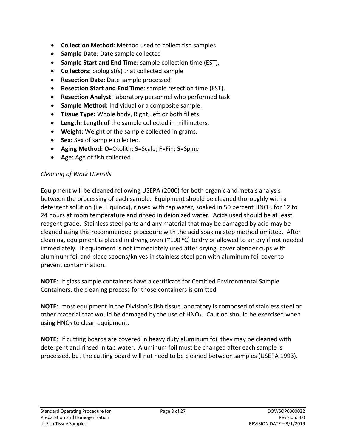- **Collection Method**: Method used to collect fish samples
- **Sample Date**: Date sample collected
- **Sample Start and End Time**: sample collection time (EST),
- **Collectors**: biologist(s) that collected sample
- **Resection Date**: Date sample processed
- **Resection Start and End Time**: sample resection time (EST),
- **Resection Analyst**: laboratory personnel who performed task
- **Sample Method:** Individual or a composite sample.
- **Tissue Type:** Whole body, Right, left or both fillets
- **Length:** Length of the sample collected in millimeters.
- **Weight:** Weight of the sample collected in grams.
- **Sex:** Sex of sample collected.
- **Aging Method: O**=Otolith; **S**=Scale; **F**=Fin; **S**=Spine
- **Age:** Age of fish collected.

### <span id="page-7-0"></span>*Cleaning of Work Utensils*

Equipment will be cleaned following USEPA (2000) for both organic and metals analysis between the processing of each sample. Equipment should be cleaned thoroughly with a detergent solution (i.e. Liquinox), rinsed with tap water, soaked in 50 percent HNO<sub>3</sub>, for 12 to 24 hours at room temperature and rinsed in deionized water. Acids used should be at least reagent grade. Stainless steel parts and any material that may be damaged by acid may be cleaned using this recommended procedure with the acid soaking step method omitted. After cleaning, equipment is placed in drying oven ( $\sim$ 100 °C) to dry or allowed to air dry if not needed immediately. If equipment is not immediately used after drying, cover blender cups with aluminum foil and place spoons/knives in stainless steel pan with aluminum foil cover to prevent contamination.

**NOTE**: If glass sample containers have a certificate for Certified Environmental Sample Containers, the cleaning process for those containers is omitted.

**NOTE**: most equipment in the Division's fish tissue laboratory is composed of stainless steel or other material that would be damaged by the use of HNO<sub>3</sub>. Caution should be exercised when using  $HNO<sub>3</sub>$  to clean equipment.

**NOTE**: If cutting boards are covered in heavy duty aluminum foil they may be cleaned with detergent and rinsed in tap water. Aluminum foil must be changed after each sample is processed, but the cutting board will not need to be cleaned between samples (USEPA 1993).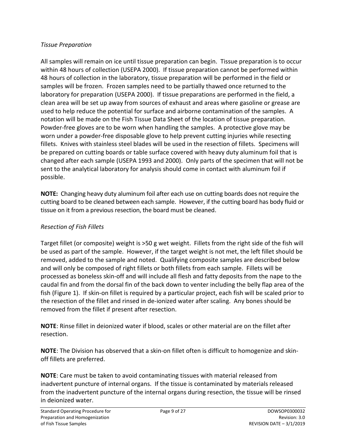### <span id="page-8-0"></span>*Tissue Preparation*

All samples will remain on ice until tissue preparation can begin. Tissue preparation is to occur within 48 hours of collection (USEPA 2000). If tissue preparation cannot be performed within 48 hours of collection in the laboratory, tissue preparation will be performed in the field or samples will be frozen. Frozen samples need to be partially thawed once returned to the laboratory for preparation (USEPA 2000). If tissue preparations are performed in the field, a clean area will be set up away from sources of exhaust and areas where gasoline or grease are used to help reduce the potential for surface and airborne contamination of the samples. A notation will be made on the Fish Tissue Data Sheet of the location of tissue preparation. Powder-free gloves are to be worn when handling the samples. A protective glove may be worn under a powder-free disposable glove to help prevent cutting injuries while resecting fillets. Knives with stainless steel blades will be used in the resection of fillets. Specimens will be prepared on cutting boards or table surface covered with heavy duty aluminum foil that is changed after each sample (USEPA 1993 and 2000). Only parts of the specimen that will not be sent to the analytical laboratory for analysis should come in contact with aluminum foil if possible.

**NOTE:** Changing heavy duty aluminum foil after each use on cutting boards does not require the cutting board to be cleaned between each sample. However, if the cutting board has body fluid or tissue on it from a previous resection, the board must be cleaned.

### <span id="page-8-1"></span>*Resection of Fish Fillets*

Target fillet (or composite) weight is >50 g wet weight. Fillets from the right side of the fish will be used as part of the sample. However, if the target weight is not met, the left fillet should be removed, added to the sample and noted. Qualifying composite samples are described below and will only be composed of right fillets or both fillets from each sample. Fillets will be processed as boneless skin-off and will include all flesh and fatty deposits from the nape to the caudal fin and from the dorsal fin of the back down to venter including the belly flap area of the fish [\(Figure 1\)](#page-9-0). If skin-on fillet is required by a particular project, each fish will be scaled prior to the resection of the fillet and rinsed in de-ionized water after scaling. Any bones should be removed from the fillet if present after resection.

**NOTE**: Rinse fillet in deionized water if blood, scales or other material are on the fillet after resection.

**NOTE**: The Division has observed that a skin-on fillet often is difficult to homogenize and skinoff fillets are preferred.

**NOTE**: Care must be taken to avoid contaminating tissues with material released from inadvertent puncture of internal organs. If the tissue is contaminated by materials released from the inadvertent puncture of the internal organs during resection, the tissue will be rinsed in deionized water.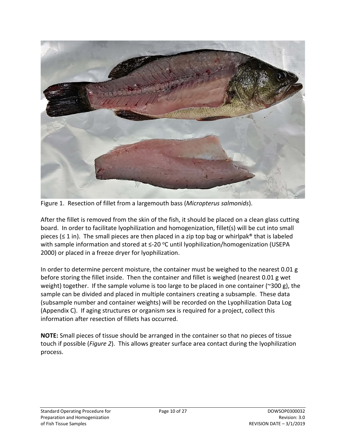

Figure 1. Resection of fillet from a largemouth bass (*Micropterus salmonids*).

<span id="page-9-0"></span>After the fillet is removed from the skin of the fish, it should be placed on a clean glass cutting board. In order to facilitate lyophilization and homogenization, fillet(s) will be cut into small pieces ( $\leq 1$  in). The small pieces are then placed in a zip top bag or whirlpak® that is labeled with sample information and stored at  $\leq$ -20 °C until lyophilization/homogenization (USEPA 2000) or placed in a freeze dryer for lyophilization.

In order to determine percent moisture, the container must be weighed to the nearest  $0.01$  g before storing the fillet inside. Then the container and fillet is weighed (nearest 0.01 g wet weight) together. If the sample volume is too large to be placed in one container (~300 g), the sample can be divided and placed in multiple containers creating a subsample. These data (subsample number and container weights) will be recorded on the Lyophilization Data Log (Appendix C). If aging structures or organism sex is required for a project, collect this information after resection of fillets has occurred.

**NOTE:** Small pieces of tissue should be arranged in the container so that no pieces of tissue touch if possible (*[Figure 2](#page-10-0)*). This allows greater surface area contact during the lyophilization process.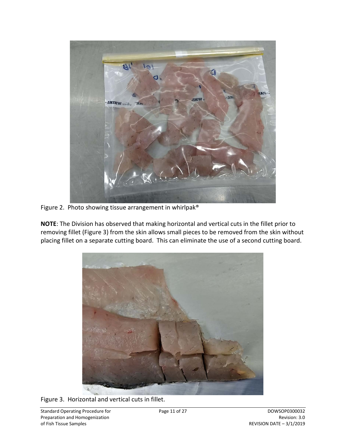

Figure 2. Photo showing tissue arrangement in whirlpak®

<span id="page-10-0"></span>**NOTE**: The Division has observed that making horizontal and vertical cuts in the fillet prior to removing fillet [\(Figure 3\)](#page-10-1) from the skin allows small pieces to be removed from the skin without placing fillet on a separate cutting board. This can eliminate the use of a second cutting board.

<span id="page-10-1"></span>

Figure 3. Horizontal and vertical cuts in fillet.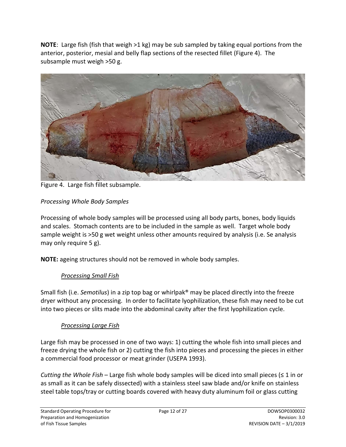**NOTE**: Large fish (fish that weigh >1 kg) may be sub sampled by taking equal portions from the anterior, posterior, mesial and belly flap sections of the resected fillet [\(Figure 4\)](#page-11-3). The subsample must weigh >50 g.



Figure 4. Large fish fillet subsample.

## <span id="page-11-3"></span><span id="page-11-0"></span>*Processing Whole Body Samples*

Processing of whole body samples will be processed using all body parts, bones, body liquids and scales. Stomach contents are to be included in the sample as well. Target whole body sample weight is >50 g wet weight unless other amounts required by analysis (i.e. Se analysis may only require 5 g).

<span id="page-11-1"></span>**NOTE:** ageing structures should not be removed in whole body samples.

### *Processing Small Fish*

Small fish (i.e. *Semotilus*) in a zip top bag or whirlpak® may be placed directly into the freeze dryer without any processing. In order to facilitate lyophilization, these fish may need to be cut into two pieces or slits made into the abdominal cavity after the first lyophilization cycle.

### *Processing Large Fish*

<span id="page-11-2"></span>Large fish may be processed in one of two ways: 1) cutting the whole fish into small pieces and freeze drying the whole fish or 2) cutting the fish into pieces and processing the pieces in either a commercial food processor or meat grinder (USEPA 1993).

*Cutting the Whole Fish* – Large fish whole body samples will be diced into small pieces (≤ 1 in or as small as it can be safely dissected) with a stainless steel saw blade and/or knife on stainless steel table tops/tray or cutting boards covered with heavy duty aluminum foil or glass cutting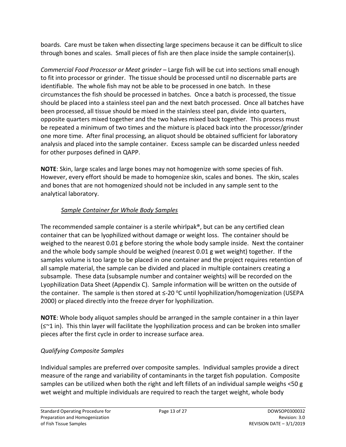boards. Care must be taken when dissecting large specimens because it can be difficult to slice through bones and scales. Small pieces of fish are then place inside the sample container(s).

*Commercial Food Processor or Meat grinder* – Large fish will be cut into sections small enough to fit into processor or grinder. The tissue should be processed until no discernable parts are identifiable. The whole fish may not be able to be processed in one batch. In these circumstances the fish should be processed in batches. Once a batch is processed, the tissue should be placed into a stainless steel pan and the next batch processed. Once all batches have been processed, all tissue should be mixed in the stainless steel pan, divide into quarters, opposite quarters mixed together and the two halves mixed back together. This process must be repeated a minimum of two times and the mixture is placed back into the processor/grinder one more time. After final processing, an aliquot should be obtained sufficient for laboratory analysis and placed into the sample container. Excess sample can be discarded unless needed for other purposes defined in QAPP.

**NOTE**: Skin, large scales and large bones may not homogenize with some species of fish. However, every effort should be made to homogenize skin, scales and bones. The skin, scales and bones that are not homogenized should not be included in any sample sent to the analytical laboratory.

# *Sample Container for Whole Body Samples*

<span id="page-12-0"></span>The recommended sample container is a sterile whirlpak®, but can be any certified clean container that can be lyophilized without damage or weight loss. The container should be weighed to the nearest 0.01 g before storing the whole body sample inside. Next the container and the whole body sample should be weighed (nearest 0.01 g wet weight) together. If the samples volume is too large to be placed in one container and the project requires retention of all sample material, the sample can be divided and placed in multiple containers creating a subsample. These data (subsample number and container weights) will be recorded on the Lyophilization Data Sheet (Appendix C). Sample information will be written on the outside of the container. The sample is then stored at  $\leq$ -20 °C until lyophilization/homogenization (USEPA 2000) or placed directly into the freeze dryer for lyophilization.

**NOTE**: Whole body aliquot samples should be arranged in the sample container in a thin layer (≤~1 in). This thin layer will facilitate the lyophilization process and can be broken into smaller pieces after the first cycle in order to increase surface area.

# <span id="page-12-1"></span>*Qualifying Composite Samples*

Individual samples are preferred over composite samples. Individual samples provide a direct measure of the range and variability of contaminants in the target fish population. Composite samples can be utilized when both the right and left fillets of an individual sample weighs <50 g wet weight and multiple individuals are required to reach the target weight, whole body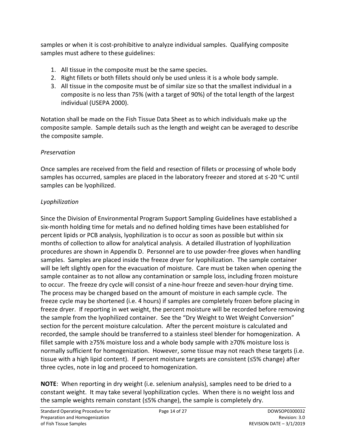samples or when it is cost-prohibitive to analyze individual samples. Qualifying composite samples must adhere to these guidelines:

- 1. All tissue in the composite must be the same species.
- 2. Right fillets or both fillets should only be used unless it is a whole body sample.
- 3. All tissue in the composite must be of similar size so that the smallest individual in a composite is no less than 75% (with a target of 90%) of the total length of the largest individual (USEPA 2000).

Notation shall be made on the Fish Tissue Data Sheet as to which individuals make up the composite sample. Sample details such as the length and weight can be averaged to describe the composite sample.

# <span id="page-13-0"></span>*Preservation*

Once samples are received from the field and resection of fillets or processing of whole body samples has occurred, samples are placed in the laboratory freezer and stored at  $\leq$ -20 °C until samples can be lyophilized.

## <span id="page-13-1"></span>*Lyophilization*

Since the Division of Environmental Program Support Sampling Guidelines have established a six-month holding time for metals and no defined holding times have been established for percent lipids or PCB analysis, lyophilization is to occur as soon as possible but within six months of collection to allow for analytical analysis. A detailed illustration of lyophilization procedures are shown in Appendix D. Personnel are to use powder-free gloves when handling samples. Samples are placed inside the freeze dryer for lyophilization. The sample container will be left slightly open for the evacuation of moisture. Care must be taken when opening the sample container as to not allow any contamination or sample loss, including frozen moisture to occur. The freeze dry cycle will consist of a nine-hour freeze and seven-hour drying time. The process may be changed based on the amount of moisture in each sample cycle. The freeze cycle may be shortened (i.e. 4 hours) if samples are completely frozen before placing in freeze dryer. If reporting in wet weight, the percent moisture will be recorded before removing the sample from the lyophilized container. See the "Dry Weight to Wet Weight Conversion" section for the percent moisture calculation. After the percent moisture is calculated and recorded, the sample should be transferred to a stainless steel blender for homogenization. A fillet sample with ≥75% moisture loss and a whole body sample with ≥70% moisture loss is normally sufficient for homogenization. However, some tissue may not reach these targets (i.e. tissue with a high lipid content). If percent moisture targets are consistent (≤5% change) after three cycles, note in log and proceed to homogenization.

**NOTE**: When reporting in dry weight (i.e. selenium analysis), samples need to be dried to a constant weight. It may take several lyophilization cycles. When there is no weight loss and the sample weights remain constant (≤5% change), the sample is completely dry.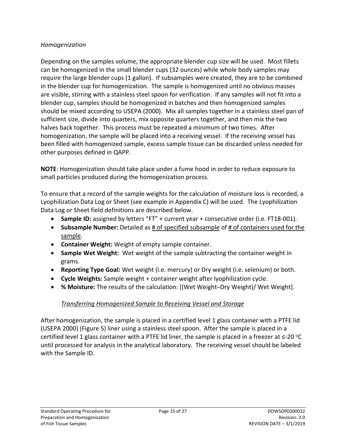#### <span id="page-14-0"></span>*Homogenization*

Depending on the samples volume, the appropriate blender cup size will be used. Most fillets can be homogenized in the small blender cups (32 ounces) while whole body samples may require the large blender cups (1 gallon). If subsamples were created, they are to be combined in the blender cup for homogenization. The sample is homogenized until no obvious masses are visible, stirring with a stainless steel spoon for verification. If any samples will not fit into a blender cup, samples should be homogenized in batches and then homogenized samples should be mixed according to USEPA (2000). Mix all samples together in a stainless steel pan of sufficient size, divide into quarters, mix opposite quarters together, and then mix the two halves back together. This process must be repeated a minimum of two times. After homogenization, the sample will be placed into a receiving vessel. If the receiving vessel has been filled with homogenized sample, excess sample tissue can be discarded unless needed for other purposes defined in QAPP.

**NOTE**: Homogenization should take place under a fume hood in order to reduce exposure to small particles produced during the homogenization process.

To ensure that a record of the sample weights for the calculation of moisture loss is recorded, a Lyophilization Data Log or Sheet (see example in Appendix C) will be used. The Lyophilization Data Log or Sheet field definitions are described below.

- **Sample ID:** assigned by letters "FT" + current year + consecutive order (i.e. FT18-001).
- **Subsample Number:** Detailed as # of specified subsample of # of containers used for the sample.
- **Container Weight:** Weight of empty sample container.
- **Sample Wet Weight:** Wet weight of the sample subtracting the container weight in grams.
- **Reporting Type Goal:** Wet weight (i.e. mercury) or Dry weight (i.e. selenium) or both.
- **Cycle Weights:** Sample weight + container weight after lyophilization cycle.
- **% Moisture:** The results of the calculation: [(Wet Weight–Dry Weight)/ Wet Weight].

### *Transferring Homogenized Sample to Receiving Vessel and Storage*

<span id="page-14-1"></span>After homogenization, the sample is placed in a certified level 1 glass container with a PTFE lid (USEPA 2000) [\(Figure 5\)](#page-15-3) liner using a stainless steel spoon. After the sample is placed in a certified level 1 glass container with a PTFE lid liner, the sample is placed in a freezer at  $\leq$ -20 °C until processed for analysis in the analytical laboratory. The receiving vessel should be labeled with the Sample ID.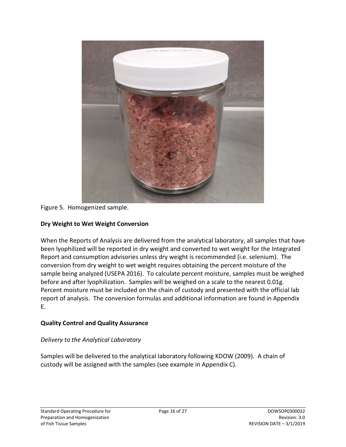

<span id="page-15-3"></span>Figure 5. Homogenized sample.

### <span id="page-15-0"></span>**Dry Weight to Wet Weight Conversion**

When the Reports of Analysis are delivered from the analytical laboratory, all samples that have been lyophilized will be reported in dry weight and converted to wet weight for the Integrated Report and consumption advisories unless dry weight is recommended (i.e. selenium). The conversion from dry weight to wet weight requires obtaining the percent moisture of the sample being analyzed (USEPA 2016). To calculate percent moisture, samples must be weighed before and after lyophilization. Samples will be weighed on a scale to the nearest 0.01g. Percent moisture must be included on the chain of custody and presented with the official lab report of analysis. The conversion formulas and additional information are found in Appendix E.

### <span id="page-15-1"></span>**Quality Control and Quality Assurance**

### <span id="page-15-2"></span>*Delivery to the Analytical Laboratory*

Samples will be delivered to the analytical laboratory following KDOW (2009). A chain of custody will be assigned with the samples (see example in Appendix C).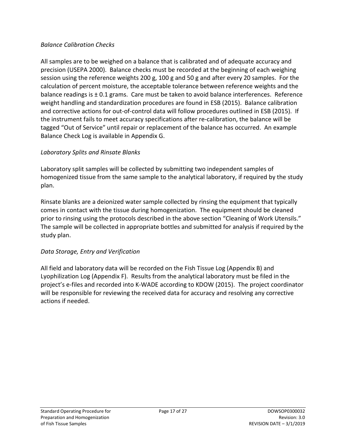#### <span id="page-16-0"></span>*Balance Calibration Checks*

All samples are to be weighed on a balance that is calibrated and of adequate accuracy and precision (USEPA 2000). Balance checks must be recorded at the beginning of each weighing session using the reference weights 200 g, 100 g and 50 g and after every 20 samples. For the calculation of percent moisture, the acceptable tolerance between reference weights and the balance readings is  $\pm$  0.1 grams. Care must be taken to avoid balance interferences. Reference weight handling and standardization procedures are found in ESB (2015). Balance calibration and corrective actions for out-of-control data will follow procedures outlined in ESB (2015). If the instrument fails to meet accuracy specifications after re-calibration, the balance will be tagged "Out of Service" until repair or replacement of the balance has occurred. An example Balance Check Log is available in Appendix G.

### <span id="page-16-1"></span>*Laboratory Splits and Rinsate Blanks*

Laboratory split samples will be collected by submitting two independent samples of homogenized tissue from the same sample to the analytical laboratory, if required by the study plan.

Rinsate blanks are a deionized water sample collected by rinsing the equipment that typically comes in contact with the tissue during homogenization. The equipment should be cleaned prior to rinsing using the protocols described in the above section "Cleaning of Work Utensils." The sample will be collected in appropriate bottles and submitted for analysis if required by the study plan.

### <span id="page-16-2"></span>*Data Storage, Entry and Verification*

All field and laboratory data will be recorded on the Fish Tissue Log (Appendix B) and Lyophilization Log (Appendix F). Results from the analytical laboratory must be filed in the project's e-files and recorded into K-WADE according to KDOW (2015). The project coordinator will be responsible for reviewing the received data for accuracy and resolving any corrective actions if needed.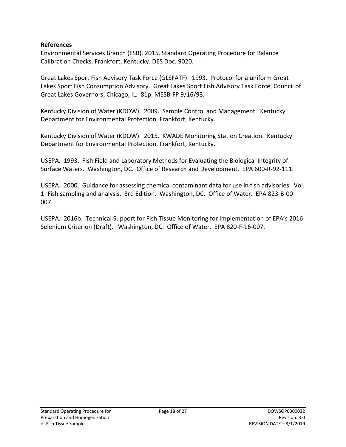#### <span id="page-17-0"></span>**References**

Environmental Services Branch (ESB). 2015. Standard Operating Procedure for Balance Calibration Checks. Frankfort, Kentucky. DES Doc. 9020.

Great Lakes Sport Fish Advisory Task Force (GLSFATF). 1993. Protocol for a uniform Great Lakes Sport Fish Consumption Advisory. Great Lakes Sport Fish Advisory Task Force, Council of Great Lakes Governors, Chicago, IL. 81p. MESB-FP 9/16/93.

Kentucky Division of Water (KDOW). 2009. Sample Control and Management. Kentucky Department for Environmental Protection, Frankfort, Kentucky.

Kentucky Division of Water (KDOW). 2015. KWADE Monitoring Station Creation. Kentucky Department for Environmental Protection, Frankfort, Kentucky.

USEPA. 1993. Fish Field and Laboratory Methods for Evaluating the Biological Integrity of Surface Waters. Washington, DC. Office of Research and Development. EPA 600-R-92-111.

USEPA. 2000. Guidance for assessing chemical contaminant data for use in fish advisories. Vol. 1: Fish sampling and analysis. 3rd Edition. Washington, DC. Office of Water. EPA 823-B-00- 007.

USEPA. 2016b. Technical Support for Fish Tissue Monitoring for Implementation of EPA's 2016 Selenium Criterion (Draft). Washington, DC. Office of Water. EPA 820-F-16-007.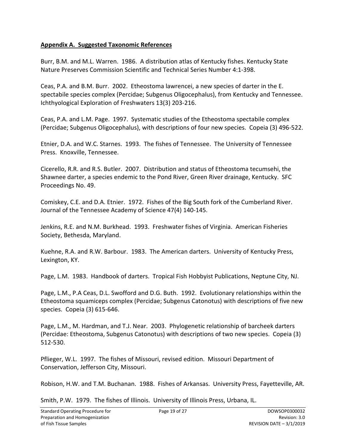#### <span id="page-18-0"></span>**Appendix A. Suggested Taxonomic References**

Burr, B.M. and M.L. Warren. 1986. A distribution atlas of Kentucky fishes. Kentucky State Nature Preserves Commission Scientific and Technical Series Number 4:1-398.

Ceas, P.A. and B.M. Burr. 2002. Etheostoma lawrencei, a new species of darter in the E. spectabile species complex (Percidae; Subgenus Oligocephalus), from Kentucky and Tennessee. Ichthyological Exploration of Freshwaters 13(3) 203-216.

Ceas, P.A. and L.M. Page. 1997. Systematic studies of the Etheostoma spectabile complex (Percidae; Subgenus Oligocephalus), with descriptions of four new species. Copeia (3) 496-522.

Etnier, D.A. and W.C. Starnes. 1993. The fishes of Tennessee. The University of Tennessee Press. Knoxville, Tennessee.

Cicerello, R.R. and R.S. Butler. 2007. Distribution and status of Etheostoma tecumsehi, the Shawnee darter, a species endemic to the Pond River, Green River drainage, Kentucky. SFC Proceedings No. 49.

Comiskey, C.E. and D.A. Etnier. 1972. Fishes of the Big South fork of the Cumberland River. Journal of the Tennessee Academy of Science 47(4) 140-145.

Jenkins, R.E. and N.M. Burkhead. 1993. Freshwater fishes of Virginia. American Fisheries Society, Bethesda, Maryland.

Kuehne, R.A. and R.W. Barbour. 1983. The American darters. University of Kentucky Press, Lexington, KY.

Page, L.M. 1983. Handbook of darters. Tropical Fish Hobbyist Publications, Neptune City, NJ.

Page, L.M., P.A Ceas, D.L. Swofford and D.G. Buth. 1992. Evolutionary relationships within the Etheostoma squamiceps complex (Percidae; Subgenus Catonotus) with descriptions of five new species. Copeia (3) 615-646.

Page, L.M., M. Hardman, and T.J. Near. 2003. Phylogenetic relationship of barcheek darters (Percidae: Etheostoma, Subgenus Catonotus) with descriptions of two new species. Copeia (3) 512-530.

Pflieger, W.L. 1997. The fishes of Missouri, revised edition. Missouri Department of Conservation, Jefferson City, Missouri.

Robison, H.W. and T.M. Buchanan. 1988. Fishes of Arkansas. University Press, Fayetteville, AR.

Smith, P.W. 1979. The fishes of Illinois. University of Illinois Press, Urbana, IL.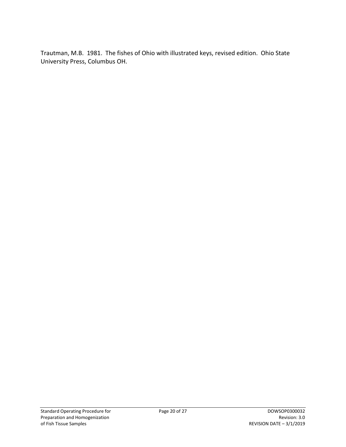Trautman, M.B. 1981. The fishes of Ohio with illustrated keys, revised edition. Ohio State University Press, Columbus OH.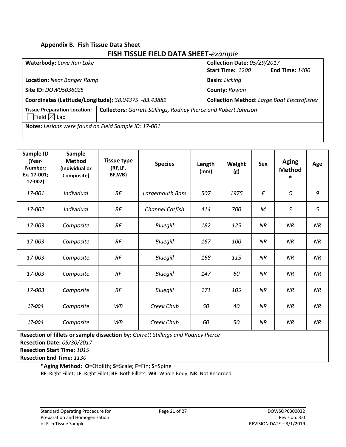# <span id="page-20-0"></span>**Appendix B. Fish Tissue Data Sheet**

## **FISH TISSUE FIELD DATA SHEET-***example*

| Waterbody: Cave Run Lake                                               |                                                                        |                       | <b>Collection Date: 05/29/2017</b>                 |  |  |  |
|------------------------------------------------------------------------|------------------------------------------------------------------------|-----------------------|----------------------------------------------------|--|--|--|
|                                                                        |                                                                        | Start Time: 1200      | <b>End Time: 1400</b>                              |  |  |  |
| <b>Location: Near Banger Ramp</b>                                      |                                                                        | <b>Basin: Licking</b> |                                                    |  |  |  |
| Site ID: <i>DOW05036025</i>                                            |                                                                        | <b>County: Rowan</b>  |                                                    |  |  |  |
|                                                                        | Coordinates (Latitude/Longitude): 38.04375 -83.43882                   |                       | <b>Collection Method: Large Boat Electrofisher</b> |  |  |  |
| <b>Tissue Preparation Location:</b><br>$\daleth$ Field $\boxtimes$ Lab | <b>Collectors:</b> Garrett Stillings, Rodney Pierce and Robert Johnson |                       |                                                    |  |  |  |
| Notes: Lesions were found on Field Sample ID: 17-001                   |                                                                        |                       |                                                    |  |  |  |

| Sample ID<br>(Year-<br>Number;<br>Ex. 17-001;<br>17-002) | <b>Sample</b><br><b>Method</b><br>(Individual or<br>Composite) | <b>Tissue type</b><br>(RF,LF,<br>BF,WB) | <b>Species</b>  | Length<br>(mm) | Weight<br>(g) | <b>Sex</b> | <b>Aging</b><br><b>Method</b><br>$\ast$ | Age       |
|----------------------------------------------------------|----------------------------------------------------------------|-----------------------------------------|-----------------|----------------|---------------|------------|-----------------------------------------|-----------|
| 17-001                                                   | Individual                                                     | RF                                      | Largemouth Bass | 507            | 1975          | F          | O                                       | 9         |
| 17-002                                                   | Individual                                                     | <b>BF</b>                               | Channel Catfish | 414            | 700           | M          | $\mathsf S$                             | 5         |
| 17-003                                                   | Composite                                                      | RF                                      | Bluegill        | 182            | 125           | NR         | NR                                      | <b>NR</b> |
| 17-003                                                   | Composite                                                      | RF                                      | <b>Bluegill</b> | 167            | 100           | NR         | NR                                      | NR        |
| 17-003                                                   | Composite                                                      | RF                                      | <b>Bluegill</b> | 168            | 115           | NR         | <b>NR</b>                               | NR        |
| 17-003                                                   | Composite                                                      | RF                                      | <b>Bluegill</b> | 147            | 60            | <b>NR</b>  | <b>NR</b>                               | <b>NR</b> |
| 17-003                                                   | Composite                                                      | RF                                      | Bluegill        | 171            | 105           | <b>NR</b>  | NR                                      | <b>NR</b> |
| 17-004                                                   | Composite                                                      | <b>WB</b>                               | Creek Chub      | 50             | 40            | <b>NR</b>  | <b>NR</b>                               | <b>NR</b> |
| 17-004                                                   | Composite                                                      | <b>WB</b>                               | Creek Chub      | 60             | 50            | NR         | NR                                      | NR        |

**Resection of fillets or sample dissection by:** *Garrett Stillings and Rodney Pierce* 

**Resection Date:** *05/30/2017*

**Resection Start Time:** *1015*

**Resection End Time**: *1130*

**\*Aging Method: O**=Otolith; **S**=Scale; **F**=Fin; **S**=Spine **RF**=Right Fillet; **LF**=Right Fillet; **BF**=Both Fillets; **WB**=Whole Body; **NR**=Not Recorded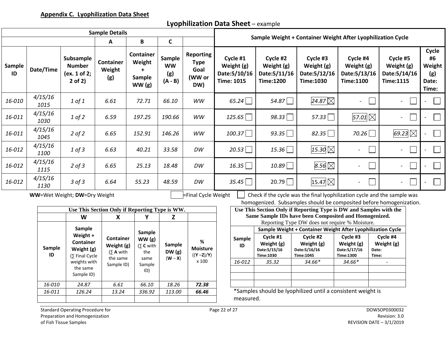### **Lyophilization Data Sheet** – example

<span id="page-21-0"></span>

| <b>Sample Details</b>                          |                 |                                                           |                                   |                                                     |                                         |                                                          | Sample Weight + Container Weight After Lyophilization Cycle  |                                                                                                                                           |                                                                         |                                                             |                                                             |                                                |
|------------------------------------------------|-----------------|-----------------------------------------------------------|-----------------------------------|-----------------------------------------------------|-----------------------------------------|----------------------------------------------------------|--------------------------------------------------------------|-------------------------------------------------------------------------------------------------------------------------------------------|-------------------------------------------------------------------------|-------------------------------------------------------------|-------------------------------------------------------------|------------------------------------------------|
|                                                |                 |                                                           | A                                 | B                                                   | C                                       |                                                          |                                                              |                                                                                                                                           |                                                                         |                                                             |                                                             |                                                |
| Sample<br>ID                                   | Date/Time       | Subsample<br><b>Number</b><br>(ex. 1 of 2;<br>$2$ of $2)$ | <b>Container</b><br>Weight<br>(g) | Container<br>Weight<br>$\ddot{}$<br>Sample<br>WW(g) | Sample<br><b>WW</b><br>(g)<br>$(A - B)$ | <b>Reporting</b><br><b>Type</b><br>Goal<br>(WW or<br>DW) | Cycle #1<br>Weight (g)<br>Date: 5/10/16<br><b>Time: 1015</b> | Cycle #2<br>Weight (g)<br>Date: 5/11/16<br><b>Time:1200</b>                                                                               | Cycle #3<br>Weight (g)<br>Date: 5/12/16<br><b>Time:1030</b>             | Cycle #4<br>Weight (g)<br>Date: 5/13/16<br><b>Time:1100</b> | Cycle #5<br>Weight (g)<br>Date: 5/14/16<br><b>Time:1115</b> | Cycle<br>#6<br>Weight<br>(g)<br>Date:<br>Time: |
| 16-010                                         | 4/15/16<br>1015 | 1 of 1                                                    | 6.61                              | 72.71                                               | 66.10                                   | WW                                                       | $65.24\Box$                                                  | 54.87 $\Box$                                                                                                                              | 24.87 $\not\boxtimes$                                                   | $\Box$<br>$\overline{\phantom{0}}$                          | $\mathbf{L}$<br>$\overline{\phantom{a}}$                    | $\Box$                                         |
| 16-011                                         | 4/15/16<br>1030 | $1$ of $2$                                                | 6.59                              | 197.25                                              | 190.66                                  | <b>WW</b>                                                | 125.65                                                       | 98.33 $\Box$                                                                                                                              | 57.33                                                                   | 57.01 $\boxtimes$                                           | $\Box$<br>$\overline{\phantom{a}}$                          | $\mathcal{L}$                                  |
| 16-011                                         | 4/15/16<br>1045 | $2$ of $2$                                                | 6.65                              | 152.91                                              | 146.26                                  | <b>WW</b>                                                | 100.37                                                       | 93.35 $\Box$                                                                                                                              | 82.35 $\Box$                                                            | 70.26                                                       | 69.23 $\boxtimes$                                           | $\Box$                                         |
| 16-012                                         | 4/15/16<br>1100 | $1$ of $3$                                                | 6.63                              | 40.21                                               | 33.58                                   | DW                                                       | 20.53                                                        | 15.36                                                                                                                                     | 15.30 $\boxtimes$                                                       | $\Box$                                                      | $\overline{\phantom{a}}$<br>$\overline{\phantom{a}}$        | $\overline{\phantom{a}}$                       |
| 16-012                                         | 4/15/16<br>1115 | $2$ of $3$                                                | 6.65                              | 25.13                                               | 18.48                                   | DW                                                       | 16.35                                                        | $10.89\Box$                                                                                                                               | 8.56 $\boxtimes$                                                        | $\overline{\phantom{a}}$                                    | $\mathbf{L}$<br>$\overline{\phantom{a}}$                    | $\mathcal{L}$                                  |
| 16-012                                         | 4/15/16<br>1130 | $3$ of $3$                                                | 6.64                              | 55.23                                               | 48.59                                   | DW                                                       | 35.45                                                        | 20.79                                                                                                                                     | $15.47\boxtimes$                                                        | $\overline{\phantom{a}}$                                    | $\mathbf{I}$<br>$\overline{\phantom{a}}$                    | $\overline{\phantom{a}}$                       |
|                                                |                 | WW=Wet Weight; DW=Dry Weight                              |                                   |                                                     |                                         | Final Cycle Weight                                       |                                                              | Check if the cycle was the final lyophilization cycle and the sample was                                                                  |                                                                         |                                                             |                                                             |                                                |
| Use This Section Only if Reporting Type is WW. |                 |                                                           |                                   |                                                     |                                         |                                                          |                                                              | homogenized. Subsamples should be composited before homogenization.<br>Use This Section Only if Reporting Type is DW and Samples with the |                                                                         |                                                             |                                                             |                                                |
|                                                |                 | W                                                         | X                                 | Υ                                                   | Z                                       |                                                          |                                                              | Same Sample IDs have been Composited and Homogenized.                                                                                     |                                                                         |                                                             |                                                             |                                                |
|                                                |                 |                                                           |                                   |                                                     |                                         |                                                          |                                                              |                                                                                                                                           | Reporting Type DW does not require % Moisture.                          |                                                             |                                                             |                                                |
|                                                |                 | <b>Sample</b><br>Weight +                                 | Container                         | Sample<br>MML(a)                                    |                                         |                                                          | Samnle                                                       | Cycle #1                                                                                                                                  | Sample Weight + Container Weight After Lyophilization Cycle<br>Cycle #2 | Cycle #3                                                    | Cycle #4                                                    |                                                |

|        | sample                       |                      | <b>Sample</b>        |               |                 |          |               | Sample Weight + Container Weight After Lyophilization       |               |       |  |
|--------|------------------------------|----------------------|----------------------|---------------|-----------------|----------|---------------|-------------------------------------------------------------|---------------|-------|--|
|        | Weight +<br><b>Container</b> | <b>Container</b>     | WW(g)                |               |                 | Sample   | Cycle #1      | Cycle #2                                                    | Cycle #3      | Cycle |  |
|        |                              | Weight (g)           | $(5 \text{ C with }$ | <b>Sample</b> | %               | ID       | Weight (g)    | Weight (g)                                                  | Weight (g)    | Weigh |  |
| Sample | Weight (g)                   | $(5 \text{ A with})$ | the                  | DW(g)         | <b>Moisture</b> |          | Date: 5/15/16 | Date: 5/16/16                                               | Date: 5/17/16 | Date: |  |
| ID     | (5 Final Cycle               | the same             | same                 | $(W - X)$     | $((Y - Z)/Y)$   |          | Time:1030     | Time: 1045                                                  | Time:1300     | Time: |  |
|        | weights with                 | Sample ID)           | Sample               |               | x 100           | 16-012   | 35.32         | $34.66*$                                                    | $34.66*$      |       |  |
|        | the same                     |                      | ID)                  |               |                 |          |               |                                                             |               |       |  |
|        | Sample ID)                   |                      |                      |               |                 |          |               |                                                             |               |       |  |
| 16-010 | 24.87                        | 6.61                 | 66.10                | 18.26         | 72.38           |          |               |                                                             |               |       |  |
| 16-011 | 126.24                       | 13.24                | 336.92               | 113.00        | 66.46           |          |               | *Samples should be lyophilized until a consistent weight is |               |       |  |
|        |                              |                      |                      |               |                 | measured |               |                                                             |               |       |  |

mples should be lyophilized until a consistent weight is asured.

Standard Operating Procedure for Theorem 2008 Control of Page 22 of 27 Page 22 of 27 DOWSOP0300032 Preparation and Homogenization **Revision: 3.0** Revision: 3.0 of Fish Tissue Samples REVISION DATE – 3/1/2019

**Sample ID**

**Weight (g)**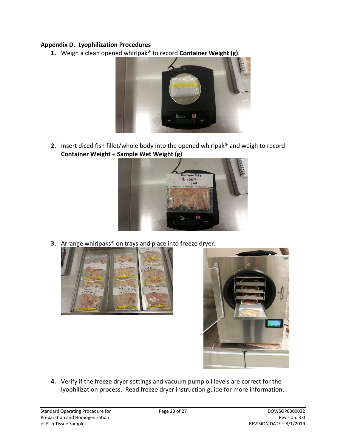#### <span id="page-22-0"></span>**Appendix D. Lyophilization Procedures**

**1.** Weigh a clean opened whirlpak® to record **Container Weight (g)**.



**2.** Insert diced fish fillet/whole body into the opened whirlpak® and weigh to record **Container Weight + Sample Wet Weight (g)**.



**3.** Arrange whirlpaks® on trays and place into freeze dryer.





**4.** Verify if the freeze dryer settings and vacuum pump oil levels are correct for the lyophilization process. Read freeze dryer instruction guide for more information.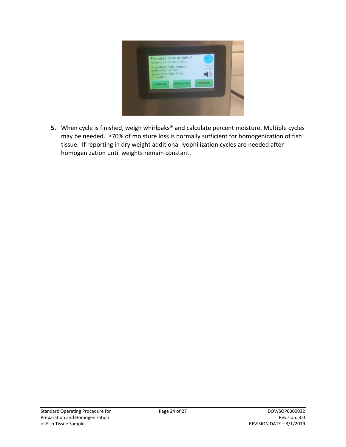

**5.** When cycle is finished, weigh whirlpaks® and calculate percent moisture. Multiple cycles may be needed. ≥70% of moisture loss is normally sufficient for homogenization of fish tissue. If reporting in dry weight additional lyophilization cycles are needed after homogenization until weights remain constant.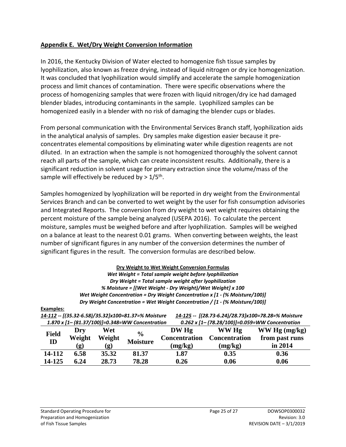#### <span id="page-24-0"></span>**Appendix E. Wet/Dry Weight Conversion Information**

In 2016, the Kentucky Division of Water elected to homogenize fish tissue samples by lyophilization, also known as freeze drying, instead of liquid nitrogen or dry ice homogenization. It was concluded that lyophilization would simplify and accelerate the sample homogenization process and limit chances of contamination. There were specific observations where the process of homogenizing samples that were frozen with liquid nitrogen/dry ice had damaged blender blades, introducing contaminants in the sample. Lyophilized samples can be homogenized easily in a blender with no risk of damaging the blender cups or blades.

From personal communication with the Environmental Services Branch staff, lyophilization aids in the analytical analysis of samples. Dry samples make digestion easier because it preconcentrates elemental compositions by eliminating water while digestion reagents are not diluted. In an extraction when the sample is not homogenized thoroughly the solvent cannot reach all parts of the sample, which can create inconsistent results. Additionally, there is a significant reduction in solvent usage for primary extraction since the volume/mass of the sample will effectively be reduced by  $> 1/5$ <sup>th</sup>.

Samples homogenized by lyophilization will be reported in dry weight from the Environmental Services Branch and can be converted to wet weight by the user for fish consumption advisories and Integrated Reports. The conversion from dry weight to wet weight requires obtaining the percent moisture of the sample being analyzed (USEPA 2016). To calculate the percent moisture, samples must be weighed before and after lyophilization. Samples will be weighed on a balance at least to the nearest 0.01 grams. When converting between weights, the least number of significant figures in any number of the conversion determines the number of significant figures in the result. The conversion formulas are described below.

| Dry Weight to Wet Weight Conversion Formulas                                           |
|----------------------------------------------------------------------------------------|
| Wet Weight = Total sample weight before lyophilization                                 |
| Dry Weight = Total sample weight after lyophilization                                  |
| % Moisture = [(Wet Weight - Dry Weight)/Wet Weight] x 100                              |
| Wet Weight Concentration = Dry Weight Concentration x [1 - (% Moisture/100)]           |
| Dry Weight Concentration = Wet Weight Concentration / $[1 - \frac{1}{8}$ Moisture/100] |

**Examples:**

| $\sim$<br>$\blacksquare$                                                                                   |  |
|------------------------------------------------------------------------------------------------------------|--|
| 1.870 x $[1 - (81.37/100)] = 0.348 = WW$ Concentration<br>0.262 x [1– (78.28/100)]=0.059=WW Concentration  |  |
| 14-125 -- [(28.73-6.24)/28.73]x100=78.28=% Moisture<br>14-112 -- [(35.32-6.58)/35.32]x100=81.37=% Moisture |  |
|                                                                                                            |  |

| <b>Field</b><br>ID | Dry<br>Weight<br>$\left( \mathbf{g}\right)$ | Wet<br>Weight<br>(g) | $\frac{6}{9}$<br><b>Moisture</b> | DW Hg<br><b>Concentration</b><br>(mg/kg) | WW Hg<br><b>Concentration</b><br>(mg/kg) | WW Hg (mg/kg)<br>from past runs<br>in 2014 |
|--------------------|---------------------------------------------|----------------------|----------------------------------|------------------------------------------|------------------------------------------|--------------------------------------------|
| 14-112             | 6.58                                        | 35.32                | 81.37                            | 1.87                                     | 0.35                                     | 0.36                                       |
| 14-125             | 6.24                                        | 28.73                | 78.28                            | 0.26                                     | 0.06                                     | 0.06                                       |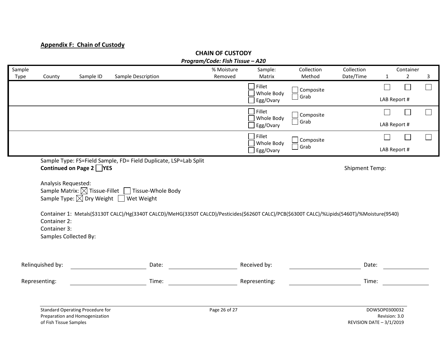# **Appendix F: Chain of Custody**

<span id="page-25-0"></span>

|                |                              |                                                                           |                                                                                                                                                                                                                                                                                                                                                 | Program/Code: Fish Tissue - A20 |                      |                      |                          |                                |                             |        |
|----------------|------------------------------|---------------------------------------------------------------------------|-------------------------------------------------------------------------------------------------------------------------------------------------------------------------------------------------------------------------------------------------------------------------------------------------------------------------------------------------|---------------------------------|----------------------|----------------------|--------------------------|--------------------------------|-----------------------------|--------|
| Sample<br>Type | County                       | Sample ID                                                                 | Sample Description                                                                                                                                                                                                                                                                                                                              | % Moisture<br>Removed           | Sample:<br>Matrix    | Collection<br>Method | Collection<br>Date/Time  | $\mathbf{1}$                   | Container<br>$\overline{2}$ | 3      |
|                |                              |                                                                           |                                                                                                                                                                                                                                                                                                                                                 |                                 | Fillet<br>Whole Body | Composite<br>Grab    |                          | $\Box$                         | $\mathbb{R}^n$              | $\Box$ |
|                |                              |                                                                           |                                                                                                                                                                                                                                                                                                                                                 |                                 | Egg/Ovary            |                      |                          | LAB Report #                   |                             |        |
|                |                              |                                                                           |                                                                                                                                                                                                                                                                                                                                                 |                                 | Fillet<br>Whole Body | Composite            |                          |                                | $\overline{\phantom{a}}$    | $\Box$ |
|                |                              |                                                                           |                                                                                                                                                                                                                                                                                                                                                 |                                 | Egg/Ovary            | $\Box$ Grab          |                          | LAB Report #                   |                             |        |
|                |                              |                                                                           |                                                                                                                                                                                                                                                                                                                                                 |                                 | Fillet<br>Whole Body | Composite            |                          |                                |                             | $\Box$ |
|                |                              |                                                                           |                                                                                                                                                                                                                                                                                                                                                 |                                 | Egg/Ovary            | Grab                 |                          | LAB Report #                   |                             |        |
|                | Analysis Requested:          | Continued on Page 2 YES                                                   | Sample Type: FS=Field Sample, FD= Field Duplicate, LSP=Lab Split<br>Sample Matrix: $\boxtimes$ Tissue-Fillet $\Box$ Tissue-Whole Body<br>Sample Type: $\boxtimes$ Dry Weight $\Box$ Wet Weight<br>Container 1: Metals(\$3130T CALC)/Hg(3340T CALCD)/MeHG(3350T CALCD)/Pesticides(\$6260T CALC)/PCB(\$6300T CALC)/%Lipids(5460T)/%Moisture(9540) |                                 |                      |                      | <b>Shipment Temp:</b>    |                                |                             |        |
|                | Container 2:<br>Container 3: | Samples Collected By:                                                     |                                                                                                                                                                                                                                                                                                                                                 |                                 |                      |                      |                          |                                |                             |        |
|                | Relinquished by:             |                                                                           | Date:                                                                                                                                                                                                                                                                                                                                           |                                 | Received by:         |                      | Date:                    |                                |                             |        |
|                | Representing:                |                                                                           | Time:                                                                                                                                                                                                                                                                                                                                           |                                 | Representing:        |                      | Time:                    |                                |                             |        |
|                | of Fish Tissue Samples       | <b>Standard Operating Procedure for</b><br>Preparation and Homogenization |                                                                                                                                                                                                                                                                                                                                                 | Page 26 of 27                   |                      |                      | REVISION DATE - 3/1/2019 | DOWSOP0300032<br>Revision: 3.0 |                             |        |

**CHAIN OF CUSTODY**